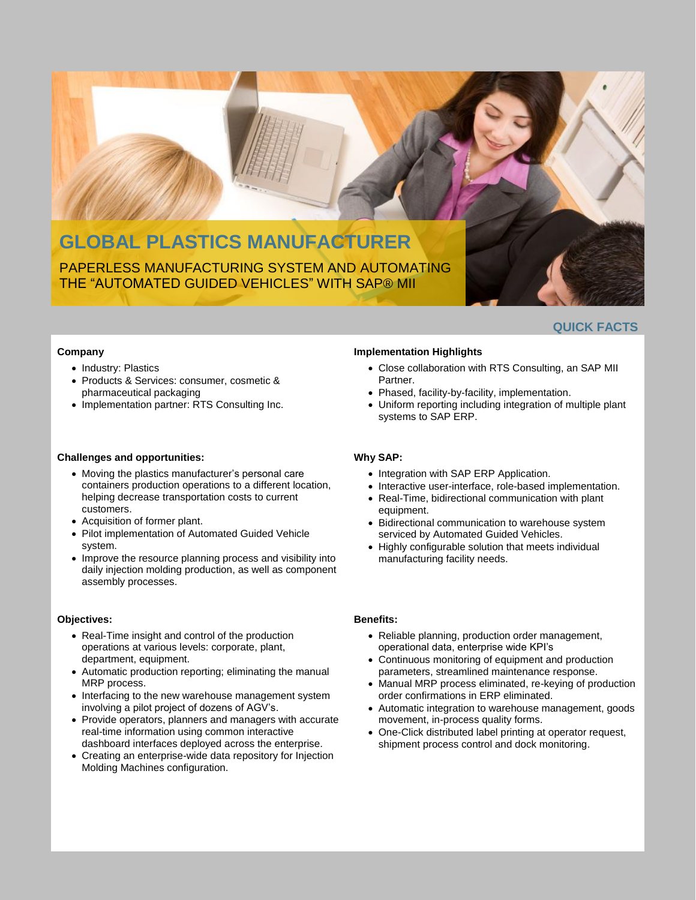# **GLOBAL PLASTICS MANUFACTURER** PAPERLESS MANUFACTURING SYSTEM AND AUTOMATING THE "AUTOMATED GUIDED VEHICLES" WITH SAP® MII

**QUICK FACTS**

#### **Company**

- Industry: Plastics
- Products & Services: consumer, cosmetic & pharmaceutical packaging
- Implementation partner: RTS Consulting Inc.

#### **Challenges and opportunities:**

- Moving the plastics manufacturer's personal care containers production operations to a different location, helping decrease transportation costs to current customers.
- Acquisition of former plant.
- Pilot implementation of Automated Guided Vehicle system.
- Improve the resource planning process and visibility into daily injection molding production, as well as component assembly processes.

#### **Objectives:**

- Real-Time insight and control of the production operations at various levels: corporate, plant, department, equipment.
- Automatic production reporting; eliminating the manual MRP process.
- Interfacing to the new warehouse management system involving a pilot project of dozens of AGV's.
- Provide operators, planners and managers with accurate real-time information using common interactive dashboard interfaces deployed across the enterprise.
- Creating an enterprise-wide data repository for Injection Molding Machines configuration.

#### **Implementation Highlights**

- Close collaboration with RTS Consulting, an SAP MII Partner.
- Phased, facility-by-facility, implementation.
- Uniform reporting including integration of multiple plant systems to SAP ERP.

#### **Why SAP:**

- Integration with SAP ERP Application.
- Interactive user-interface, role-based implementation.
- Real-Time, bidirectional communication with plant equipment.
- Bidirectional communication to warehouse system serviced by Automated Guided Vehicles.
- Highly configurable solution that meets individual manufacturing facility needs.

### **Benefits:**

- Reliable planning, production order management, operational data, enterprise wide KPI's
- Continuous monitoring of equipment and production parameters, streamlined maintenance response.
- Manual MRP process eliminated, re-keying of production order confirmations in ERP eliminated.
- Automatic integration to warehouse management, goods movement, in-process quality forms.
- One-Click distributed label printing at operator request, shipment process control and dock monitoring.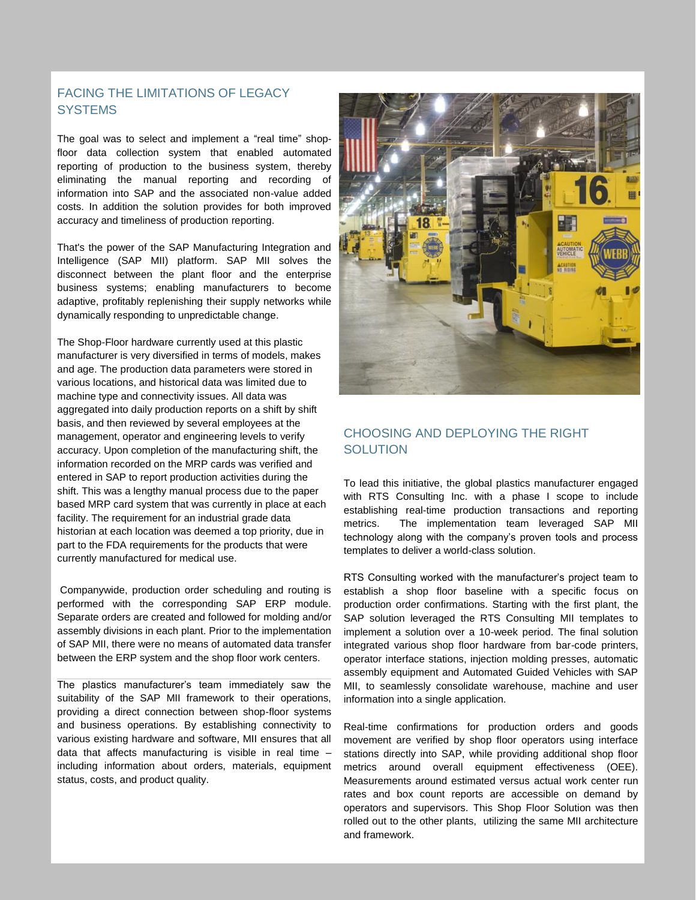## FACING THE LIMITATIONS OF LEGACY **SYSTEMS**

The goal was to select and implement a "real time" shopfloor data collection system that enabled automated reporting of production to the business system, thereby eliminating the manual reporting and recording of information into SAP and the associated non-value added costs. In addition the solution provides for both improved accuracy and timeliness of production reporting.

That's the power of the SAP Manufacturing Integration and Intelligence (SAP MII) platform. SAP MII solves the disconnect between the plant floor and the enterprise business systems; enabling manufacturers to become adaptive, profitably replenishing their supply networks while dynamically responding to unpredictable change.

The Shop-Floor hardware currently used at this plastic manufacturer is very diversified in terms of models, makes and age. The production data parameters were stored in various locations, and historical data was limited due to machine type and connectivity issues. All data was aggregated into daily production reports on a shift by shift basis, and then reviewed by several employees at the management, operator and engineering levels to verify accuracy. Upon completion of the manufacturing shift, the information recorded on the MRP cards was verified and entered in SAP to report production activities during the shift. This was a lengthy manual process due to the paper based MRP card system that was currently in place at each facility. The requirement for an industrial grade data historian at each location was deemed a top priority, due in part to the FDA requirements for the products that were currently manufactured for medical use.

Companywide, production order scheduling and routing is performed with the corresponding SAP ERP module. Separate orders are created and followed for molding and/or assembly divisions in each plant. Prior to the implementation of SAP MII, there were no means of automated data transfer between the ERP system and the shop floor work centers.

The plastics manufacturer's team immediately saw the suitability of the SAP MII framework to their operations, providing a direct connection between shop-floor systems and business operations. By establishing connectivity to various existing hardware and software, MII ensures that all data that affects manufacturing is visible in real time – including information about orders, materials, equipment status, costs, and product quality.



## CHOOSING AND DEPLOYING THE RIGHT **SOLUTION**

To lead this initiative, the global plastics manufacturer engaged with RTS Consulting Inc. with a phase I scope to include establishing real-time production transactions and reporting metrics. The implementation team leveraged SAP MII technology along with the company's proven tools and process templates to deliver a world-class solution.

RTS Consulting worked with the manufacturer's project team to establish a shop floor baseline with a specific focus on production order confirmations. Starting with the first plant, the SAP solution leveraged the RTS Consulting MII templates to implement a solution over a 10-week period. The final solution integrated various shop floor hardware from bar-code printers, operator interface stations, injection molding presses, automatic assembly equipment and Automated Guided Vehicles with SAP MII, to seamlessly consolidate warehouse, machine and user information into a single application.

Real-time confirmations for production orders and goods movement are verified by shop floor operators using interface stations directly into SAP, while providing additional shop floor metrics around overall equipment effectiveness (OEE). Measurements around estimated versus actual work center run rates and box count reports are accessible on demand by operators and supervisors. This Shop Floor Solution was then rolled out to the other plants, utilizing the same MII architecture and framework.